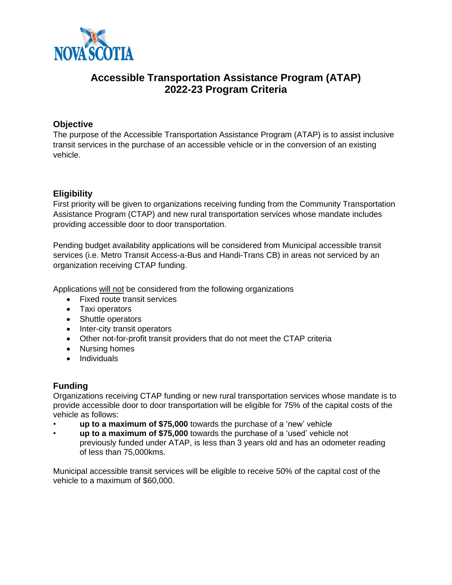

# **Accessible Transportation Assistance Program (ATAP) 2022-23 Program Criteria**

# **Objective**

The purpose of the Accessible Transportation Assistance Program (ATAP) is to assist inclusive transit services in the purchase of an accessible vehicle or in the conversion of an existing vehicle.

# **Eligibility**

First priority will be given to organizations receiving funding from the Community Transportation Assistance Program (CTAP) and new rural transportation services whose mandate includes providing accessible door to door transportation.

Pending budget availability applications will be considered from Municipal accessible transit services (i.e. Metro Transit Access-a-Bus and Handi-Trans CB) in areas not serviced by an organization receiving CTAP funding.

Applications will not be considered from the following organizations

- Fixed route transit services
- Taxi operators
- Shuttle operators
- Inter-city transit operators
- Other not-for-profit transit providers that do not meet the CTAP criteria
- Nursing homes
- Individuals

## **Funding**

Organizations receiving CTAP funding or new rural transportation services whose mandate is to provide accessible door to door transportation will be eligible for 75% of the capital costs of the vehicle as follows:

- **up to a maximum of \$75,000** towards the purchase of a 'new' vehicle
- **up to a maximum of \$75,000** towards the purchase of a 'used' vehicle not previously funded under ATAP, is less than 3 years old and has an odometer reading of less than 75,000kms.

Municipal accessible transit services will be eligible to receive 50% of the capital cost of the vehicle to a maximum of \$60,000.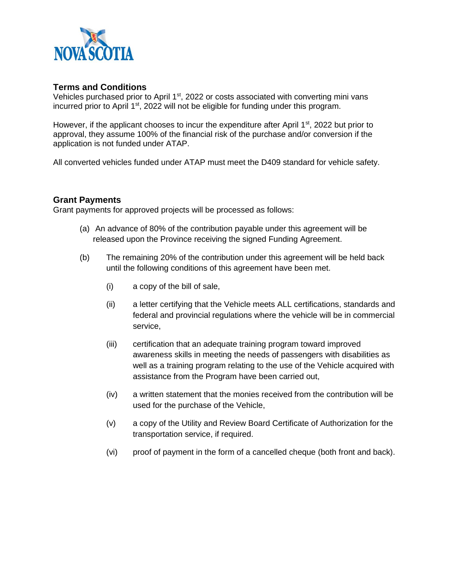

#### **Terms and Conditions**

Vehicles purchased prior to April 1<sup>st</sup>, 2022 or costs associated with converting mini vans incurred prior to April  $1<sup>st</sup>$ , 2022 will not be eligible for funding under this program.

However, if the applicant chooses to incur the expenditure after April  $1<sup>st</sup>$ , 2022 but prior to approval, they assume 100% of the financial risk of the purchase and/or conversion if the application is not funded under ATAP.

All converted vehicles funded under ATAP must meet the D409 standard for vehicle safety.

#### **Grant Payments**

Grant payments for approved projects will be processed as follows:

- (a) An advance of 80% of the contribution payable under this agreement will be released upon the Province receiving the signed Funding Agreement.
- (b) The remaining 20% of the contribution under this agreement will be held back until the following conditions of this agreement have been met.
	- (i) a copy of the bill of sale,
	- (ii) a letter certifying that the Vehicle meets ALL certifications, standards and federal and provincial regulations where the vehicle will be in commercial service,
	- (iii) certification that an adequate training program toward improved awareness skills in meeting the needs of passengers with disabilities as well as a training program relating to the use of the Vehicle acquired with assistance from the Program have been carried out,
	- (iv) a written statement that the monies received from the contribution will be used for the purchase of the Vehicle,
	- (v) a copy of the Utility and Review Board Certificate of Authorization for the transportation service, if required.
	- (vi) proof of payment in the form of a cancelled cheque (both front and back).